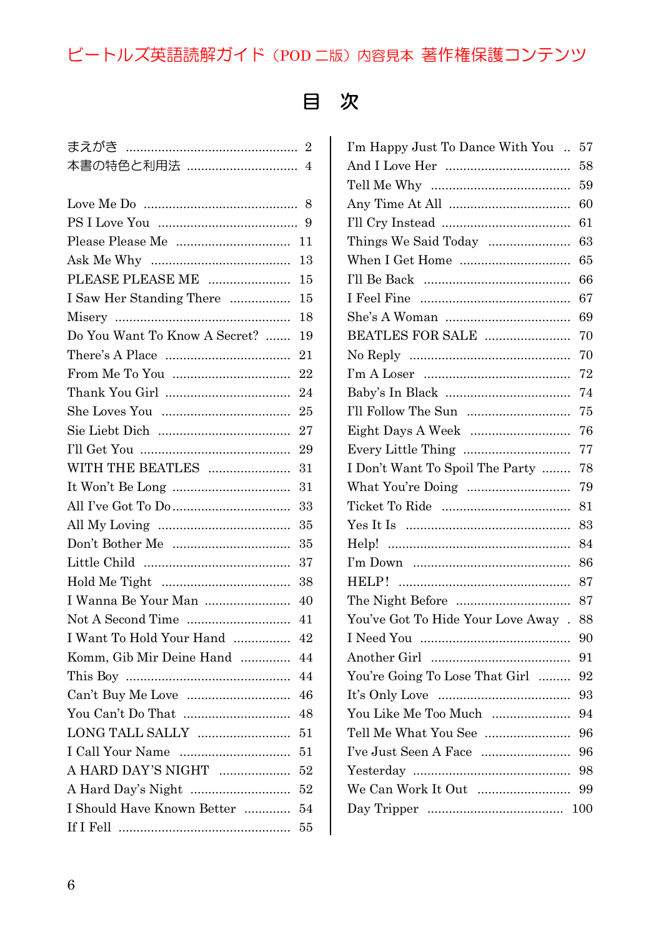## ビートルズ英語読解ガイド(POD 二版)内容見本 著作権保護コンテンツ

## 目 次

|                               | $\overline{2}$ |
|-------------------------------|----------------|
| 本書の特色と利用法                     | $\overline{4}$ |
|                               |                |
|                               | 8              |
|                               | 9              |
|                               | 11             |
|                               | 13             |
| PLEASE PLEASE ME              | 15             |
| I Saw Her Standing There      | 15             |
|                               | 18             |
| Do You Want To Know A Secret? | 19             |
|                               | 21             |
|                               | 22             |
|                               | 24             |
|                               | 25             |
|                               | 27             |
|                               | 29             |
| WITH THE BEATLES              | 31             |
|                               | 31             |
|                               | 33             |
|                               | 35             |
|                               | 35             |
|                               | 37             |
|                               | 38             |
| I Wanna Be Your Man           | 40             |
|                               | 41             |
| I Want To Hold Your Hand      | 42             |
| Komm, Gib Mir Deine Hand      | 44             |
|                               | 44             |
|                               | 46             |
|                               | 48             |
|                               | 51             |
|                               | 51             |
| A HARD DAY'S NIGHT            | 52             |
| A Hard Day's Night            | 52             |
| I Should Have Known Better    | 54             |
|                               | 55             |

| I'm Happy Just To Dance With You   | 57  |
|------------------------------------|-----|
|                                    | 58  |
|                                    | 59  |
|                                    | 60  |
|                                    | 61  |
| Things We Said Today               | 63  |
| When I Get Home                    | 65  |
|                                    | 66  |
|                                    | 67  |
|                                    | 69  |
| BEATLES FOR SALE                   | 70  |
|                                    | 70  |
|                                    | 72  |
|                                    | 74  |
| I'll Follow The Sun                | 75  |
| Eight Days A Week                  | 76  |
|                                    | 77  |
| I Don't Want To Spoil The Party    | 78  |
| What You're Doing                  | 79  |
|                                    | 81  |
|                                    | 83  |
|                                    | 84  |
|                                    | 86  |
|                                    | 87  |
|                                    | 87  |
| You've Got To Hide Your Love Away. | 88  |
|                                    | 90  |
|                                    | 91  |
| You're Going To Lose That Girl     | 92  |
|                                    | 93  |
| You Like Me Too Much               | 94  |
| Tell Me What You See               | 96  |
| I've Just Seen A Face              | 96  |
|                                    | 98  |
| We Can Work It Out                 | 99  |
|                                    | 100 |